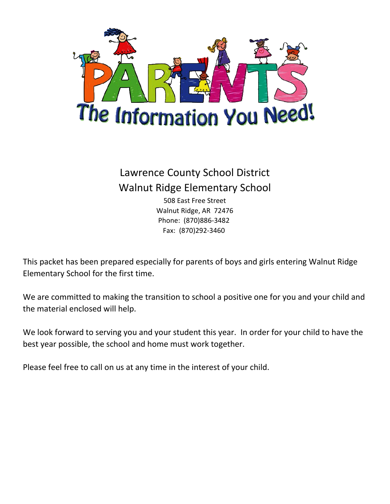

## Lawrence County School District Walnut Ridge Elementary School

508 East Free Street Walnut Ridge, AR 72476 Phone: (870)886-3482 Fax: (870)292-3460

This packet has been prepared especially for parents of boys and girls entering Walnut Ridge Elementary School for the first time.

We are committed to making the transition to school a positive one for you and your child and the material enclosed will help.

We look forward to serving you and your student this year. In order for your child to have the best year possible, the school and home must work together.

Please feel free to call on us at any time in the interest of your child.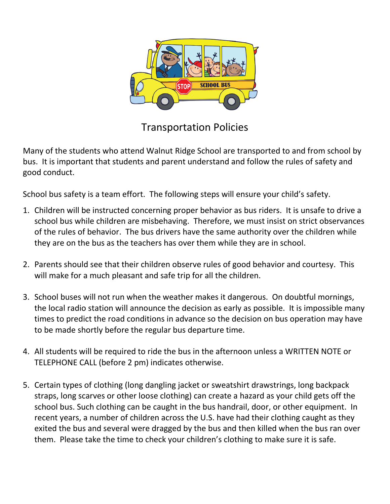

Transportation Policies

Many of the students who attend Walnut Ridge School are transported to and from school by bus. It is important that students and parent understand and follow the rules of safety and good conduct.

School bus safety is a team effort. The following steps will ensure your child's safety.

- 1. Children will be instructed concerning proper behavior as bus riders. It is unsafe to drive a school bus while children are misbehaving. Therefore, we must insist on strict observances of the rules of behavior. The bus drivers have the same authority over the children while they are on the bus as the teachers has over them while they are in school.
- 2. Parents should see that their children observe rules of good behavior and courtesy. This will make for a much pleasant and safe trip for all the children.
- 3. School buses will not run when the weather makes it dangerous. On doubtful mornings, the local radio station will announce the decision as early as possible. It is impossible many times to predict the road conditions in advance so the decision on bus operation may have to be made shortly before the regular bus departure time.
- 4. All students will be required to ride the bus in the afternoon unless a WRITTEN NOTE or TELEPHONE CALL (before 2 pm) indicates otherwise.
- 5. Certain types of clothing (long dangling jacket or sweatshirt drawstrings, long backpack straps, long scarves or other loose clothing) can create a hazard as your child gets off the school bus. Such clothing can be caught in the bus handrail, door, or other equipment. In recent years, a number of children across the U.S. have had their clothing caught as they exited the bus and several were dragged by the bus and then killed when the bus ran over them. Please take the time to check your children's clothing to make sure it is safe.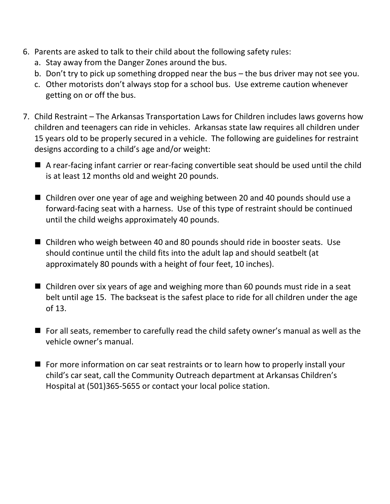- 6. Parents are asked to talk to their child about the following safety rules:
	- a. Stay away from the Danger Zones around the bus.
	- b. Don't try to pick up something dropped near the bus the bus driver may not see you.
	- c. Other motorists don't always stop for a school bus. Use extreme caution whenever getting on or off the bus.
- 7. Child Restraint The Arkansas Transportation Laws for Children includes laws governs how children and teenagers can ride in vehicles. Arkansas state law requires all children under 15 years old to be properly secured in a vehicle. The following are guidelines for restraint designs according to a child's age and/or weight:
	- A rear-facing infant carrier or rear-facing convertible seat should be used until the child is at least 12 months old and weight 20 pounds.
	- Children over one year of age and weighing between 20 and 40 pounds should use a forward-facing seat with a harness. Use of this type of restraint should be continued until the child weighs approximately 40 pounds.
	- Children who weigh between 40 and 80 pounds should ride in booster seats. Use should continue until the child fits into the adult lap and should seatbelt (at approximately 80 pounds with a height of four feet, 10 inches).
	- Children over six years of age and weighing more than 60 pounds must ride in a seat belt until age 15. The backseat is the safest place to ride for all children under the age of 13.
	- For all seats, remember to carefully read the child safety owner's manual as well as the vehicle owner's manual.
	- For more information on car seat restraints or to learn how to properly install your child's car seat, call the Community Outreach department at Arkansas Children's Hospital at (501)365-5655 or contact your local police station.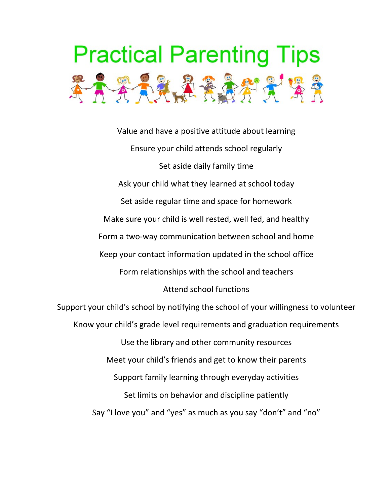

Value and have a positive attitude about learning Ensure your child attends school regularly Set aside daily family time Ask your child what they learned at school today Set aside regular time and space for homework Make sure your child is well rested, well fed, and healthy Form a two-way communication between school and home Keep your contact information updated in the school office Form relationships with the school and teachers Attend school functions Support your child's school by notifying the school of your willingness to volunteer Know your child's grade level requirements and graduation requirements Use the library and other community resources Meet your child's friends and get to know their parents Support family learning through everyday activities Set limits on behavior and discipline patiently Say "I love you" and "yes" as much as you say "don't" and "no"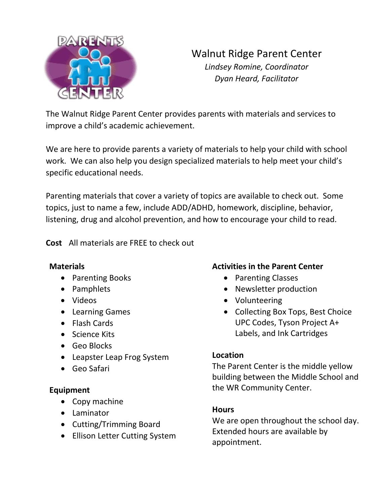

### Walnut Ridge Parent Center

*Lindsey Romine, Coordinator Dyan Heard, Facilitator*

The Walnut Ridge Parent Center provides parents with materials and services to improve a child's academic achievement.

We are here to provide parents a variety of materials to help your child with school work. We can also help you design specialized materials to help meet your child's specific educational needs.

Parenting materials that cover a variety of topics are available to check out. Some topics, just to name a few, include ADD/ADHD, homework, discipline, behavior, listening, drug and alcohol prevention, and how to encourage your child to read.

**Cost** All materials are FREE to check out

#### **Materials**

- Parenting Books
- Pamphlets
- Videos
- Learning Games
- Flash Cards
- Science Kits
- Geo Blocks
- Leapster Leap Frog System
- Geo Safari

#### **Equipment**

- Copy machine
- Laminator
- Cutting/Trimming Board
- Ellison Letter Cutting System

#### **Activities in the Parent Center**

- Parenting Classes
- Newsletter production
- Volunteering
- Collecting Box Tops, Best Choice UPC Codes, Tyson Project A+ Labels, and Ink Cartridges

#### **Location**

The Parent Center is the middle yellow building between the Middle School and the WR Community Center.

#### **Hours**

We are open throughout the school day. Extended hours are available by appointment.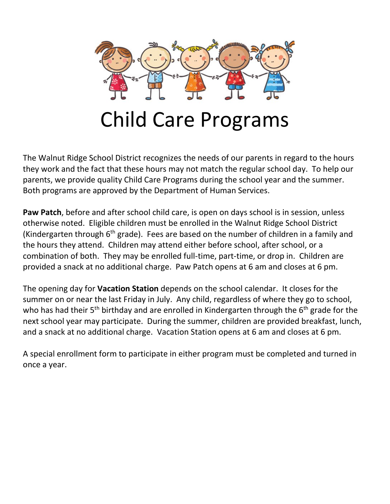

The Walnut Ridge School District recognizes the needs of our parents in regard to the hours they work and the fact that these hours may not match the regular school day. To help our parents, we provide quality Child Care Programs during the school year and the summer. Both programs are approved by the Department of Human Services.

**Paw Patch**, before and after school child care, is open on days school is in session, unless otherwise noted. Eligible children must be enrolled in the Walnut Ridge School District (Kindergarten through  $6<sup>th</sup>$  grade). Fees are based on the number of children in a family and the hours they attend. Children may attend either before school, after school, or a combination of both. They may be enrolled full-time, part-time, or drop in. Children are provided a snack at no additional charge. Paw Patch opens at 6 am and closes at 6 pm.

The opening day for **Vacation Station** depends on the school calendar. It closes for the summer on or near the last Friday in July. Any child, regardless of where they go to school, who has had their 5<sup>th</sup> birthday and are enrolled in Kindergarten through the 6<sup>th</sup> grade for the next school year may participate. During the summer, children are provided breakfast, lunch, and a snack at no additional charge. Vacation Station opens at 6 am and closes at 6 pm.

A special enrollment form to participate in either program must be completed and turned in once a year.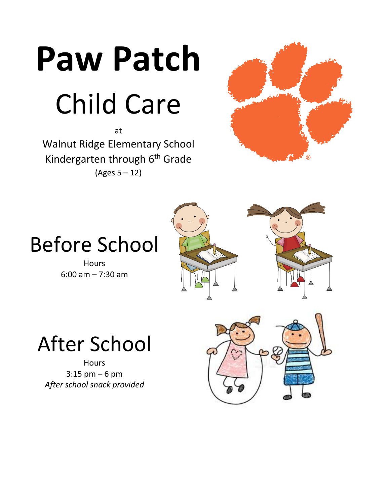

at Walnut Ridge Elementary School Kindergarten through 6<sup>th</sup> Grade (Ages 5 – 12)





**Hours** 6:00 am – 7:30 am



After School

**Hours** 3:15 pm – 6 pm *After school snack provided*

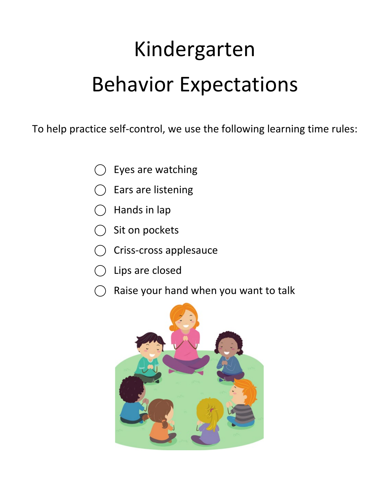# Kindergarten Behavior Expectations

To help practice self-control, we use the following learning time rules:

- Eyes are watching
- ⃝ Ears are listening
- Hands in lap
- Sit on pockets
- ⃝ Criss-cross applesauce
- Lips are closed
- ⃝ Raise your hand when you want to talk

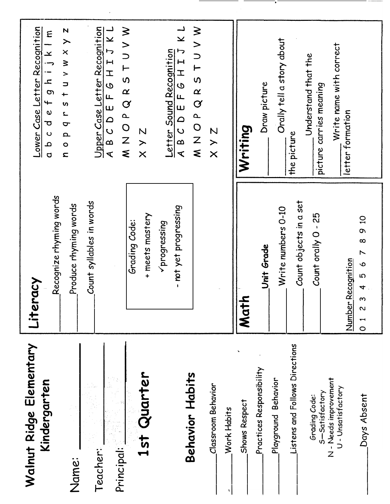| Walnut Ridge Elementary                 | Literacy                                                                                            | Lower Case Letter Recognition                            |
|-----------------------------------------|-----------------------------------------------------------------------------------------------------|----------------------------------------------------------|
| Kindergarten                            | Recognize rhyming words                                                                             | bcdefghijklm<br>d                                        |
| Name:                                   | Produce rhyming words                                                                               | p q r s t u v w x y z<br>o<br>Q                          |
|                                         | Count syllables in words                                                                            |                                                          |
| Teacher:                                |                                                                                                     | Upper Case Letter Recognition<br>A B C D E F G H I J K L |
| $\frac{1}{\sqrt{2}}$<br>Principal:      |                                                                                                     |                                                          |
| 1st Quarter                             | + meets mastery<br>Grading Code:                                                                    | M N D P Q R S T J V W<br>$X$ $Y$ $Z$                     |
|                                         | Vprogressing                                                                                        |                                                          |
|                                         | - not yet progressing                                                                               | BCDEFGHIKL<br>Letter Sound Recognition<br>≺              |
| Behavior Habits                         |                                                                                                     | M N O P Q R S T U V M                                    |
| Classroom Behavior                      |                                                                                                     | $X$ $Y$ $Z$                                              |
| Work Habits                             |                                                                                                     |                                                          |
| Shows Respect                           | Math                                                                                                | Writing                                                  |
| Practices Responsibility                | Unit Grade                                                                                          | Draw picture                                             |
| Playground Behavior                     | $W$ rite numbers 0-10                                                                               | Orally tell a story about                                |
| Listens and Follows Directions          | Count objects in a set                                                                              | the picture                                              |
| Grading Code:                           | $C$ ount orally 0 - 25                                                                              | Understand that the                                      |
| N - Needs improvement<br>S-Satisfactory |                                                                                                     | picture carries meaning                                  |
| U - Unsatisfactory                      | Number Recognition                                                                                  | Write name with correct<br>letter formation              |
| Days Absent                             | 8910<br>$\triangleright$<br>$\bullet$<br>IJ<br>4<br>ო<br>$\overline{\mathcal{C}}$<br>$\overline{0}$ |                                                          |
|                                         |                                                                                                     |                                                          |